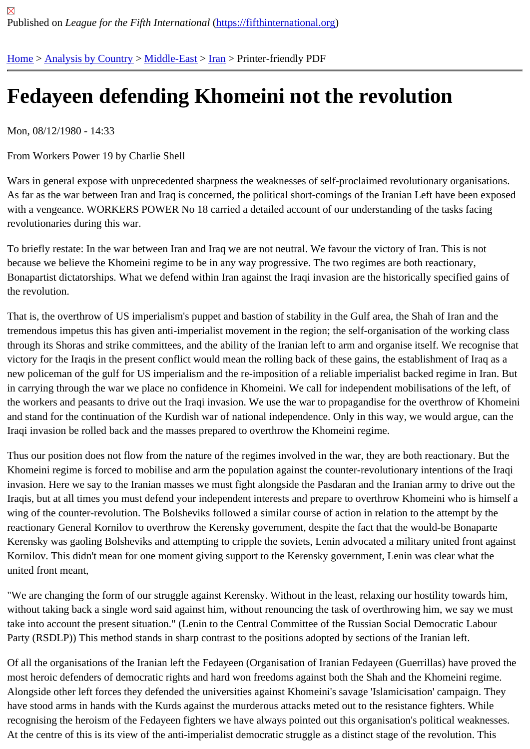## [Fed](https://fifthinternational.org/)[ayeen def](https://fifthinternational.org/category/1)[ending](https://fifthinternational.org/category/1/178) [Kh](https://fifthinternational.org/category/1/178/182)omeini not the revolution

Mon, 08/12/1980 - 14:33

From Workers Power 19 by Charlie Shell

Wars in general expose with unprecedented sharpness the weaknesses of self-proclaimed revolutionary organisat As far as the war between Iran and Iraq is concerned, the political short-comings of the Iranian Left have been exp with a vengeance. WORKERS POWER No 18 carried a detailed account of our understanding of the tasks facing revolutionaries during this war.

To briefly restate: In the war between Iran and Iraq we are not neutral. We favour the victory of Iran. This is not because we believe the Khomeini regime to be in any way progressive. The two regimes are both reactionary, Bonapartist dictatorships. What we defend within Iran against the Iraqi invasion are the historically specified gains the revolution.

That is, the overthrow of US imperialism's puppet and bastion of stability in the Gulf area, the Shah of Iran and the tremendous impetus this has given anti-imperialist movement in the region; the self-organisation of the working cla through its Shoras and strike committees, and the ability of the Iranian left to arm and organise itself. We recognise victory for the Iraqis in the present conflict would mean the rolling back of these gains, the establishment of Iraq as new policeman of the gulf for US imperialism and the re-imposition of a reliable imperialist backed regime in Iran. I in carrying through the war we place no confidence in Khomeini. We call for independent mobilisations of the left, o the workers and peasants to drive out the Iraqi invasion. We use the war to propagandise for the overthrow of Kho and stand for the continuation of the Kurdish war of national independence. Only in this way, we would argue, can the Iraqi invasion be rolled back and the masses prepared to overthrow the Khomeini regime.

Thus our position does not flow from the nature of the regimes involved in the war, they are both reactionary. But t Khomeini regime is forced to mobilise and arm the population against the counter-revolutionary intentions of the Iraq invasion. Here we say to the Iranian masses we must fight alongside the Pasdaran and the Iranian army to drive c Iraqis, but at all times you must defend your independent interests and prepare to overthrow Khomeini who is hims wing of the counter-revolution. The Bolsheviks followed a similar course of action in relation to the attempt by the reactionary General Kornilov to overthrow the Kerensky government, despite the fact that the would-be Bonaparte Kerensky was gaoling Bolsheviks and attempting to cripple the soviets, Lenin advocated a military united front aga Kornilov. This didn't mean for one moment giving support to the Kerensky government, Lenin was clear what the united front meant,

"We are changing the form of our struggle against Kerensky. Without in the least, relaxing our hostility towards him, without taking back a single word said against him, without renouncing the task of overthrowing him, we say we m take into account the present situation." (Lenin to the Central Committee of the Russian Social Democratic Labour Party (RSDLP)) This method stands in sharp contrast to the positions adopted by sections of the Iranian left.

Of all the organisations of the Iranian left the Fedayeen (Organisation of Iranian Fedayeen (Guerrillas) have prove most heroic defenders of democratic rights and hard won freedoms against both the Shah and the Khomeini regim Alongside other left forces they defended the universities against Khomeini's savage 'Islamicisation' campaign. Th have stood arms in hands with the Kurds against the murderous attacks meted out to the resistance fighters. While recognising the heroism of the Fedayeen fighters we have always pointed out this organisation's political weaknes At the centre of this is its view of the anti-imperialist democratic struggle as a distinct stage of the revolution. This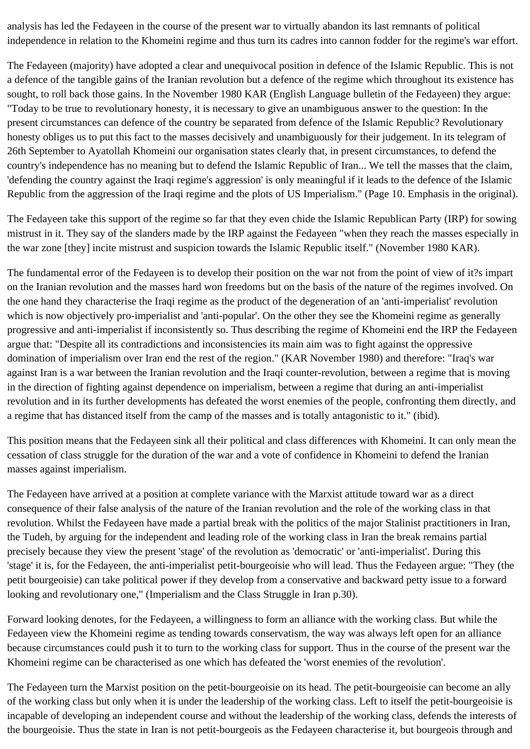analysis has led the Fedayeen in the course of the present war to virtually abandon its last remnants of political independence in relation to the Khomeini regime and thus turn its cadres into cannon fodder for the regime's war effort.

The Fedayeen (majority) have adopted a clear and unequivocal position in defence of the Islamic Republic. This is not a defence of the tangible gains of the Iranian revolution but a defence of the regime which throughout its existence has sought, to roll back those gains. In the November 1980 KAR (English Language bulletin of the Fedayeen) they argue: "Today to be true to revolutionary honesty, it is necessary to give an unambiguous answer to the question: In the present circumstances can defence of the country be separated from defence of the Islamic Republic? Revolutionary honesty obliges us to put this fact to the masses decisively and unambiguously for their judgement. In its telegram of 26th September to Ayatollah Khomeini our organisation states clearly that, in present circumstances, to defend the country's independence has no meaning but to defend the Islamic Republic of Iran... We tell the masses that the claim, 'defending the country against the Iraqi regime's aggression' is only meaningful if it leads to the defence of the Islamic Republic from the aggression of the Iraqi regime and the plots of US Imperialism." (Page 10. Emphasis in the original).

The Fedayeen take this support of the regime so far that they even chide the Islamic Republican Party (IRP) for sowing mistrust in it. They say of the slanders made by the IRP against the Fedayeen "when they reach the masses especially in the war zone [they] incite mistrust and suspicion towards the Islamic Republic itself." (November 1980 KAR).

The fundamental error of the Fedayeen is to develop their position on the war not from the point of view of it?s impart on the Iranian revolution and the masses hard won freedoms but on the basis of the nature of the regimes involved. On the one hand they characterise the Iraqi regime as the product of the degeneration of an 'anti-imperialist' revolution which is now objectively pro-imperialist and 'anti-popular'. On the other they see the Khomeini regime as generally progressive and anti-imperialist if inconsistently so. Thus describing the regime of Khomeini end the IRP the Fedayeen argue that: "Despite all its contradictions and inconsistencies its main aim was to fight against the oppressive domination of imperialism over Iran end the rest of the region." (KAR November 1980) and therefore: "Iraq's war against Iran is a war between the Iranian revolution and the Iraqi counter-revolution, between a regime that is moving in the direction of fighting against dependence on imperialism, between a regime that during an anti-imperialist revolution and in its further developments has defeated the worst enemies of the people, confronting them directly, and a regime that has distanced itself from the camp of the masses and is totally antagonistic to it." (ibid).

This position means that the Fedayeen sink all their political and class differences with Khomeini. It can only mean the cessation of class struggle for the duration of the war and a vote of confidence in Khomeini to defend the Iranian masses against imperialism.

The Fedayeen have arrived at a position at complete variance with the Marxist attitude toward war as a direct consequence of their false analysis of the nature of the Iranian revolution and the role of the working class in that revolution. Whilst the Fedayeen have made a partial break with the politics of the major Stalinist practitioners in Iran, the Tudeh, by arguing for the independent and leading role of the working class in Iran the break remains partial precisely because they view the present 'stage' of the revolution as 'democratic' or 'anti-imperialist'. During this 'stage' it is, for the Fedayeen, the anti-imperialist petit-bourgeoisie who will lead. Thus the Fedayeen argue: "They (the petit bourgeoisie) can take political power if they develop from a conservative and backward petty issue to a forward looking and revolutionary one," (Imperialism and the Class Struggle in Iran p.30).

Forward looking denotes, for the Fedayeen, a willingness to form an alliance with the working class. But while the Fedayeen view the Khomeini regime as tending towards conservatism, the way was always left open for an alliance because circumstances could push it to turn to the working class for support. Thus in the course of the present war the Khomeini regime can be characterised as one which has defeated the 'worst enemies of the revolution'.

The Fedayeen turn the Marxist position on the petit-bourgeoisie on its head. The petit-bourgeoisie can become an ally of the working class but only when it is under the leadership of the working class. Left to itself the petit-bourgeoisie is incapable of developing an independent course and without the leadership of the working class, defends the interests of the bourgeoisie. Thus the state in Iran is not petit-bourgeois as the Fedayeen characterise it, but bourgeois through and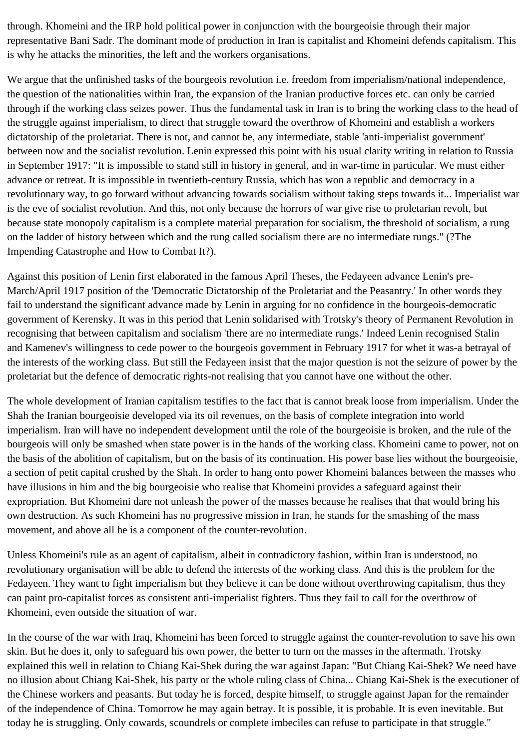through. Khomeini and the IRP hold political power in conjunction with the bourgeoisie through their major representative Bani Sadr. The dominant mode of production in Iran is capitalist and Khomeini defends capitalism. This is why he attacks the minorities, the left and the workers organisations.

We argue that the unfinished tasks of the bourgeois revolution i.e. freedom from imperialism/national independence, the question of the nationalities within Iran, the expansion of the Iranian productive forces etc. can only be carried through if the working class seizes power. Thus the fundamental task in Iran is to bring the working class to the head of the struggle against imperialism, to direct that struggle toward the overthrow of Khomeini and establish a workers dictatorship of the proletariat. There is not, and cannot be, any intermediate, stable 'anti-imperialist government' between now and the socialist revolution. Lenin expressed this point with his usual clarity writing in relation to Russia in September 1917: "It is impossible to stand still in history in general, and in war-time in particular. We must either advance or retreat. It is impossible in twentieth-century Russia, which has won a republic and democracy in a revolutionary way, to go forward without advancing towards socialism without taking steps towards it... Imperialist war is the eve of socialist revolution. And this, not only because the horrors of war give rise to proletarian revolt, but because state monopoly capitalism is a complete material preparation for socialism, the threshold of socialism, a rung on the ladder of history between which and the rung called socialism there are no intermediate rungs." (?The Impending Catastrophe and How to Combat It?).

Against this position of Lenin first elaborated in the famous April Theses, the Fedayeen advance Lenin's pre-March/April 1917 position of the 'Democratic Dictatorship of the Proletariat and the Peasantry.' In other words they fail to understand the significant advance made by Lenin in arguing for no confidence in the bourgeois-democratic government of Kerensky. It was in this period that Lenin solidarised with Trotsky's theory of Permanent Revolution in recognising that between capitalism and socialism 'there are no intermediate rungs.' Indeed Lenin recognised Stalin and Kamenev's willingness to cede power to the bourgeois government in February 1917 for whet it was-a betrayal of the interests of the working class. But still the Fedayeen insist that the major question is not the seizure of power by the proletariat but the defence of democratic rights-not realising that you cannot have one without the other.

The whole development of Iranian capitalism testifies to the fact that is cannot break loose from imperialism. Under the Shah the Iranian bourgeoisie developed via its oil revenues, on the basis of complete integration into world imperialism. Iran will have no independent development until the role of the bourgeoisie is broken, and the rule of the bourgeois will only be smashed when state power is in the hands of the working class. Khomeini came to power, not on the basis of the abolition of capitalism, but on the basis of its continuation. His power base lies without the bourgeoisie, a section of petit capital crushed by the Shah. In order to hang onto power Khomeini balances between the masses who have illusions in him and the big bourgeoisie who realise that Khomeini provides a safeguard against their expropriation. But Khomeini dare not unleash the power of the masses because he realises that that would bring his own destruction. As such Khomeini has no progressive mission in Iran, he stands for the smashing of the mass movement, and above all he is a component of the counter-revolution.

Unless Khomeini's rule as an agent of capitalism, albeit in contradictory fashion, within Iran is understood, no revolutionary organisation will be able to defend the interests of the working class. And this is the problem for the Fedayeen. They want to fight imperialism but they believe it can be done without overthrowing capitalism, thus they can paint pro-capitalist forces as consistent anti-imperialist fighters. Thus they fail to call for the overthrow of Khomeini, even outside the situation of war.

In the course of the war with Iraq, Khomeini has been forced to struggle against the counter-revolution to save his own skin. But he does it, only to safeguard his own power, the better to turn on the masses in the aftermath. Trotsky explained this well in relation to Chiang Kai-Shek during the war against Japan: "But Chiang Kai-Shek? We need have no illusion about Chiang Kai-Shek, his party or the whole ruling class of China... Chiang Kai-Shek is the executioner of the Chinese workers and peasants. But today he is forced, despite himself, to struggle against Japan for the remainder of the independence of China. Tomorrow he may again betray. It is possible, it is probable. It is even inevitable. But today he is struggling. Only cowards, scoundrels or complete imbeciles can refuse to participate in that struggle."